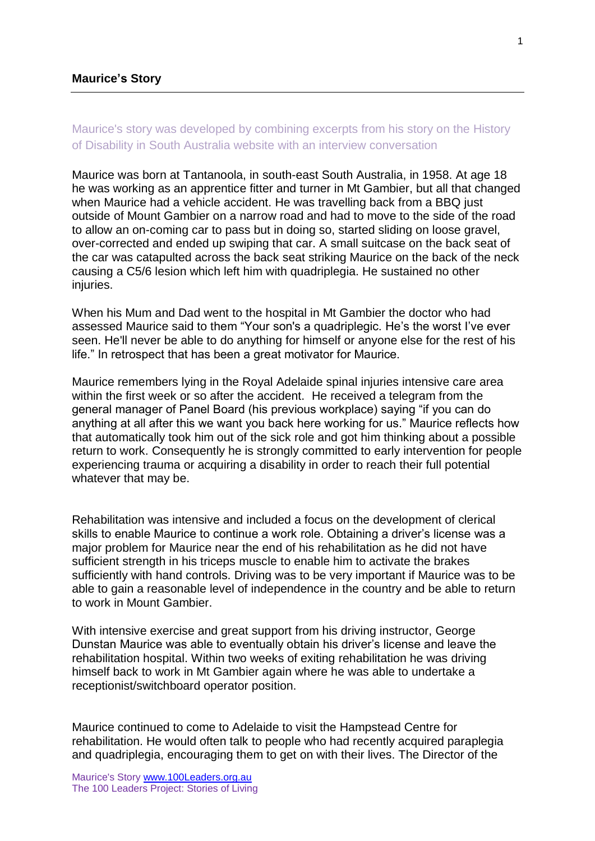# Maurice's story was developed by combining excerpts from his story on the History of Disability in South Australia website with an interview conversation

Maurice was born at Tantanoola, in south-east South Australia, in 1958. At age 18 he was working as an apprentice fitter and turner in Mt Gambier, but all that changed when Maurice had a vehicle accident. He was travelling back from a BBQ just outside of Mount Gambier on a narrow road and had to move to the side of the road to allow an on-coming car to pass but in doing so, started sliding on loose gravel, over-corrected and ended up swiping that car. A small suitcase on the back seat of the car was catapulted across the back seat striking Maurice on the back of the neck causing a C5/6 lesion which left him with quadriplegia. He sustained no other injuries.

When his Mum and Dad went to the hospital in Mt Gambier the doctor who had assessed Maurice said to them "Your son's a quadriplegic. He's the worst I've ever seen. He'll never be able to do anything for himself or anyone else for the rest of his life." In retrospect that has been a great motivator for Maurice.

Maurice remembers lying in the Royal Adelaide spinal injuries intensive care area within the first week or so after the accident. He received a telegram from the general manager of Panel Board (his previous workplace) saying "if you can do anything at all after this we want you back here working for us." Maurice reflects how that automatically took him out of the sick role and got him thinking about a possible return to work. Consequently he is strongly committed to early intervention for people experiencing trauma or acquiring a disability in order to reach their full potential whatever that may be.

Rehabilitation was intensive and included a focus on the development of clerical skills to enable Maurice to continue a work role. Obtaining a driver's license was a major problem for Maurice near the end of his rehabilitation as he did not have sufficient strength in his triceps muscle to enable him to activate the brakes sufficiently with hand controls. Driving was to be very important if Maurice was to be able to gain a reasonable level of independence in the country and be able to return to work in Mount Gambier.

With intensive exercise and great support from his driving instructor, George Dunstan Maurice was able to eventually obtain his driver's license and leave the rehabilitation hospital. Within two weeks of exiting rehabilitation he was driving himself back to work in Mt Gambier again where he was able to undertake a receptionist/switchboard operator position.

Maurice continued to come to Adelaide to visit the Hampstead Centre for rehabilitation. He would often talk to people who had recently acquired paraplegia and quadriplegia, encouraging them to get on with their lives. The Director of the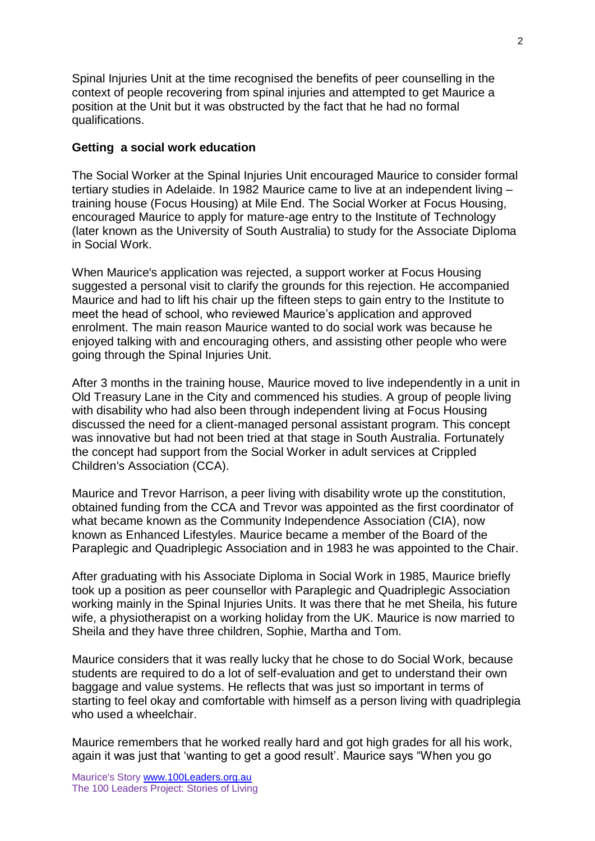Spinal Injuries Unit at the time recognised the benefits of peer counselling in the context of people recovering from spinal injuries and attempted to get Maurice a position at the Unit but it was obstructed by the fact that he had no formal qualifications.

## **Getting a social work education**

The Social Worker at the Spinal Injuries Unit encouraged Maurice to consider formal tertiary studies in Adelaide. In 1982 Maurice came to live at an independent living – training house (Focus Housing) at Mile End. The Social Worker at Focus Housing, encouraged Maurice to apply for mature-age entry to the Institute of Technology (later known as the University of South Australia) to study for the Associate Diploma in Social Work.

When Maurice's application was rejected, a support worker at Focus Housing suggested a personal visit to clarify the grounds for this rejection. He accompanied Maurice and had to lift his chair up the fifteen steps to gain entry to the Institute to meet the head of school, who reviewed Maurice's application and approved enrolment. The main reason Maurice wanted to do social work was because he enjoyed talking with and encouraging others, and assisting other people who were going through the Spinal Injuries Unit.

After 3 months in the training house, Maurice moved to live independently in a unit in Old Treasury Lane in the City and commenced his studies. A group of people living with disability who had also been through independent living at Focus Housing discussed the need for a client-managed personal assistant program. This concept was innovative but had not been tried at that stage in South Australia. Fortunately the concept had support from the Social Worker in adult services at Crippled Children's Association (CCA).

Maurice and Trevor Harrison, a peer living with disability wrote up the constitution, obtained funding from the CCA and Trevor was appointed as the first coordinator of what became known as the Community Independence Association (CIA), now known as Enhanced Lifestyles. Maurice became a member of the Board of the Paraplegic and Quadriplegic Association and in 1983 he was appointed to the Chair.

After graduating with his Associate Diploma in Social Work in 1985, Maurice briefly took up a position as peer counsellor with Paraplegic and Quadriplegic Association working mainly in the Spinal Injuries Units. It was there that he met Sheila, his future wife, a physiotherapist on a working holiday from the UK. Maurice is now married to Sheila and they have three children, Sophie, Martha and Tom.

Maurice considers that it was really lucky that he chose to do Social Work, because students are required to do a lot of self-evaluation and get to understand their own baggage and value systems. He reflects that was just so important in terms of starting to feel okay and comfortable with himself as a person living with quadriplegia who used a wheelchair.

Maurice remembers that he worked really hard and got high grades for all his work, again it was just that 'wanting to get a good result'. Maurice says "When you go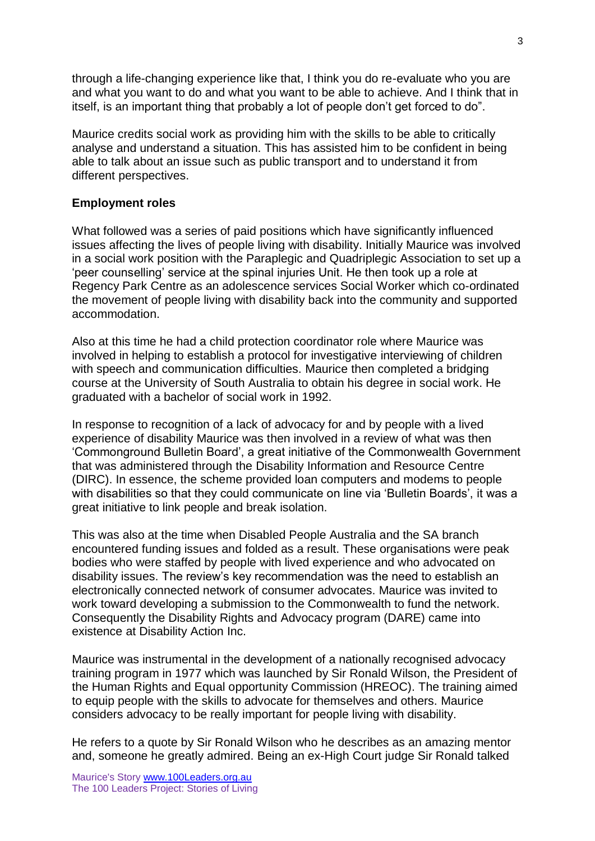through a life-changing experience like that, I think you do re-evaluate who you are and what you want to do and what you want to be able to achieve. And I think that in itself, is an important thing that probably a lot of people don't get forced to do".

Maurice credits social work as providing him with the skills to be able to critically analyse and understand a situation. This has assisted him to be confident in being able to talk about an issue such as public transport and to understand it from different perspectives.

### **Employment roles**

What followed was a series of paid positions which have significantly influenced issues affecting the lives of people living with disability. Initially Maurice was involved in a social work position with the Paraplegic and Quadriplegic Association to set up a 'peer counselling' service at the spinal injuries Unit. He then took up a role at Regency Park Centre as an adolescence services Social Worker which co-ordinated the movement of people living with disability back into the community and supported accommodation.

Also at this time he had a child protection coordinator role where Maurice was involved in helping to establish a protocol for investigative interviewing of children with speech and communication difficulties. Maurice then completed a bridging course at the University of South Australia to obtain his degree in social work. He graduated with a bachelor of social work in 1992.

In response to recognition of a lack of advocacy for and by people with a lived experience of disability Maurice was then involved in a review of what was then 'Commonground Bulletin Board', a great initiative of the Commonwealth Government that was administered through the Disability Information and Resource Centre (DIRC). In essence, the scheme provided loan computers and modems to people with disabilities so that they could communicate on line via 'Bulletin Boards', it was a great initiative to link people and break isolation.

This was also at the time when Disabled People Australia and the SA branch encountered funding issues and folded as a result. These organisations were peak bodies who were staffed by people with lived experience and who advocated on disability issues. The review's key recommendation was the need to establish an electronically connected network of consumer advocates. Maurice was invited to work toward developing a submission to the Commonwealth to fund the network. Consequently the Disability Rights and Advocacy program (DARE) came into existence at Disability Action Inc.

Maurice was instrumental in the development of a nationally recognised advocacy training program in 1977 which was launched by Sir Ronald Wilson, the President of the Human Rights and Equal opportunity Commission (HREOC). The training aimed to equip people with the skills to advocate for themselves and others. Maurice considers advocacy to be really important for people living with disability.

He refers to a quote by Sir Ronald Wilson who he describes as an amazing mentor and, someone he greatly admired. Being an ex-High Court judge Sir Ronald talked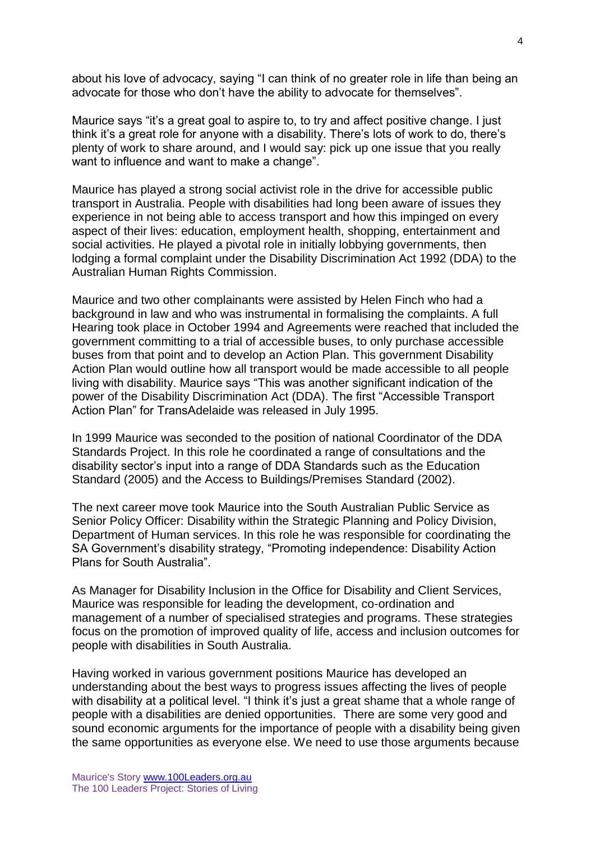about his love of advocacy, saying "I can think of no greater role in life than being an advocate for those who don't have the ability to advocate for themselves".

Maurice says "it's a great goal to aspire to, to try and affect positive change. I just think it's a great role for anyone with a disability. There's lots of work to do, there's plenty of work to share around, and I would say: pick up one issue that you really want to influence and want to make a change".

Maurice has played a strong social activist role in the drive for accessible public transport in Australia. People with disabilities had long been aware of issues they experience in not being able to access transport and how this impinged on every aspect of their lives: education, employment health, shopping, entertainment and social activities. He played a pivotal role in initially lobbying governments, then lodging a formal complaint under the Disability Discrimination Act 1992 (DDA) to the Australian Human Rights Commission.

Maurice and two other complainants were assisted by Helen Finch who had a background in law and who was instrumental in formalising the complaints. A full Hearing took place in October 1994 and Agreements were reached that included the government committing to a trial of accessible buses, to only purchase accessible buses from that point and to develop an Action Plan. This government Disability Action Plan would outline how all transport would be made accessible to all people living with disability. Maurice says "This was another significant indication of the power of the Disability Discrimination Act (DDA). The first "Accessible Transport Action Plan" for TransAdelaide was released in July 1995.

In 1999 Maurice was seconded to the position of national Coordinator of the DDA Standards Project. In this role he coordinated a range of consultations and the disability sector's input into a range of DDA Standards such as the Education Standard (2005) and the Access to Buildings/Premises Standard (2002).

The next career move took Maurice into the South Australian Public Service as Senior Policy Officer: Disability within the Strategic Planning and Policy Division, Department of Human services. In this role he was responsible for coordinating the SA Government's disability strategy, "Promoting independence: Disability Action Plans for South Australia".

As Manager for Disability Inclusion in the Office for Disability and Client Services, Maurice was responsible for leading the development, co-ordination and management of a number of specialised strategies and programs. These strategies focus on the promotion of improved quality of life, access and inclusion outcomes for people with disabilities in South Australia.

Having worked in various government positions Maurice has developed an understanding about the best ways to progress issues affecting the lives of people with disability at a political level. "I think it's just a great shame that a whole range of people with a disabilities are denied opportunities. There are some very good and sound economic arguments for the importance of people with a disability being given the same opportunities as everyone else. We need to use those arguments because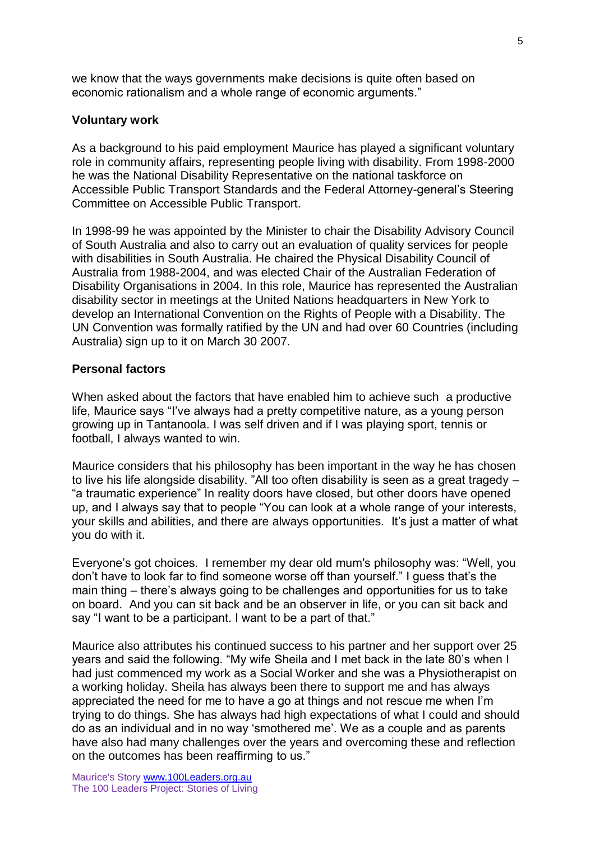we know that the ways governments make decisions is quite often based on economic rationalism and a whole range of economic arguments."

## **Voluntary work**

As a background to his paid employment Maurice has played a significant voluntary role in community affairs, representing people living with disability. From 1998-2000 he was the National Disability Representative on the national taskforce on Accessible Public Transport Standards and the Federal Attorney-general's Steering Committee on Accessible Public Transport.

In 1998-99 he was appointed by the Minister to chair the Disability Advisory Council of South Australia and also to carry out an evaluation of quality services for people with disabilities in South Australia. He chaired the Physical Disability Council of Australia from 1988-2004, and was elected Chair of the Australian Federation of Disability Organisations in 2004. In this role, Maurice has represented the Australian disability sector in meetings at the United Nations headquarters in New York to develop an International Convention on the Rights of People with a Disability. The UN Convention was formally ratified by the UN and had over 60 Countries (including Australia) sign up to it on March 30 2007.

# **Personal factors**

When asked about the factors that have enabled him to achieve such a productive life, Maurice says "I've always had a pretty competitive nature, as a young person growing up in Tantanoola. I was self driven and if I was playing sport, tennis or football, I always wanted to win.

Maurice considers that his philosophy has been important in the way he has chosen to live his life alongside disability. "All too often disability is seen as a great tragedy – "a traumatic experience" In reality doors have closed, but other doors have opened up, and I always say that to people "You can look at a whole range of your interests, your skills and abilities, and there are always opportunities. It's just a matter of what you do with it.

Everyone's got choices. I remember my dear old mum's philosophy was: "Well, you don't have to look far to find someone worse off than yourself." I guess that's the main thing – there's always going to be challenges and opportunities for us to take on board. And you can sit back and be an observer in life, or you can sit back and say "I want to be a participant. I want to be a part of that."

Maurice also attributes his continued success to his partner and her support over 25 years and said the following. "My wife Sheila and I met back in the late 80's when I had just commenced my work as a Social Worker and she was a Physiotherapist on a working holiday. Sheila has always been there to support me and has always appreciated the need for me to have a go at things and not rescue me when I'm trying to do things. She has always had high expectations of what I could and should do as an individual and in no way 'smothered me'. We as a couple and as parents have also had many challenges over the years and overcoming these and reflection on the outcomes has been reaffirming to us."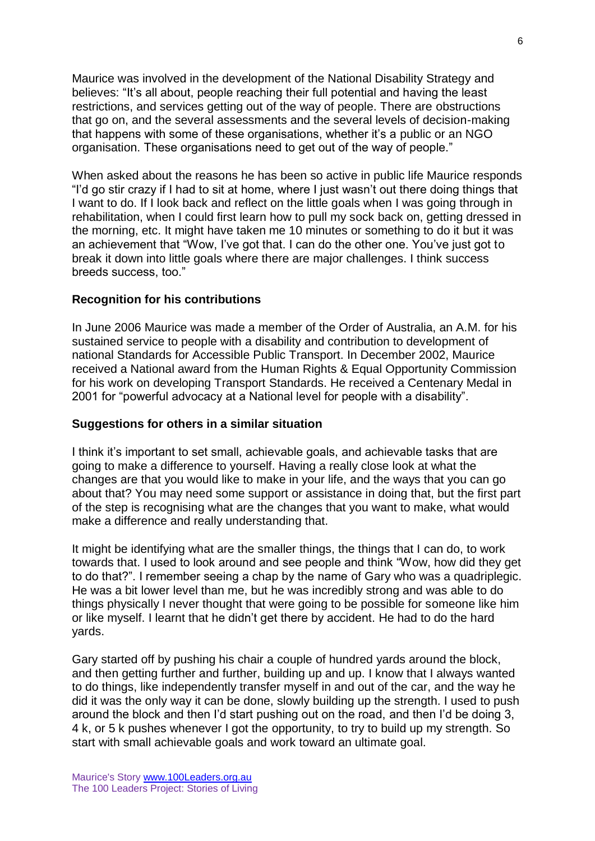Maurice was involved in the development of the National Disability Strategy and believes: "It's all about, people reaching their full potential and having the least restrictions, and services getting out of the way of people. There are obstructions that go on, and the several assessments and the several levels of decision-making that happens with some of these organisations, whether it's a public or an NGO organisation. These organisations need to get out of the way of people."

When asked about the reasons he has been so active in public life Maurice responds "I'd go stir crazy if I had to sit at home, where I just wasn't out there doing things that I want to do. If I look back and reflect on the little goals when I was going through in rehabilitation, when I could first learn how to pull my sock back on, getting dressed in the morning, etc. It might have taken me 10 minutes or something to do it but it was an achievement that "Wow, I've got that. I can do the other one. You've just got to break it down into little goals where there are major challenges. I think success breeds success, too."

### **Recognition for his contributions**

In June 2006 Maurice was made a member of the Order of Australia, an A.M. for his sustained service to people with a disability and contribution to development of national Standards for Accessible Public Transport. In December 2002, Maurice received a National award from the Human Rights & Equal Opportunity Commission for his work on developing Transport Standards. He received a Centenary Medal in 2001 for "powerful advocacy at a National level for people with a disability".

#### **Suggestions for others in a similar situation**

I think it's important to set small, achievable goals, and achievable tasks that are going to make a difference to yourself. Having a really close look at what the changes are that you would like to make in your life, and the ways that you can go about that? You may need some support or assistance in doing that, but the first part of the step is recognising what are the changes that you want to make, what would make a difference and really understanding that.

It might be identifying what are the smaller things, the things that I can do, to work towards that. I used to look around and see people and think "Wow, how did they get to do that?". I remember seeing a chap by the name of Gary who was a quadriplegic. He was a bit lower level than me, but he was incredibly strong and was able to do things physically I never thought that were going to be possible for someone like him or like myself. I learnt that he didn't get there by accident. He had to do the hard yards.

Gary started off by pushing his chair a couple of hundred yards around the block, and then getting further and further, building up and up. I know that I always wanted to do things, like independently transfer myself in and out of the car, and the way he did it was the only way it can be done, slowly building up the strength. I used to push around the block and then I'd start pushing out on the road, and then I'd be doing 3, 4 k, or 5 k pushes whenever I got the opportunity, to try to build up my strength. So start with small achievable goals and work toward an ultimate goal.